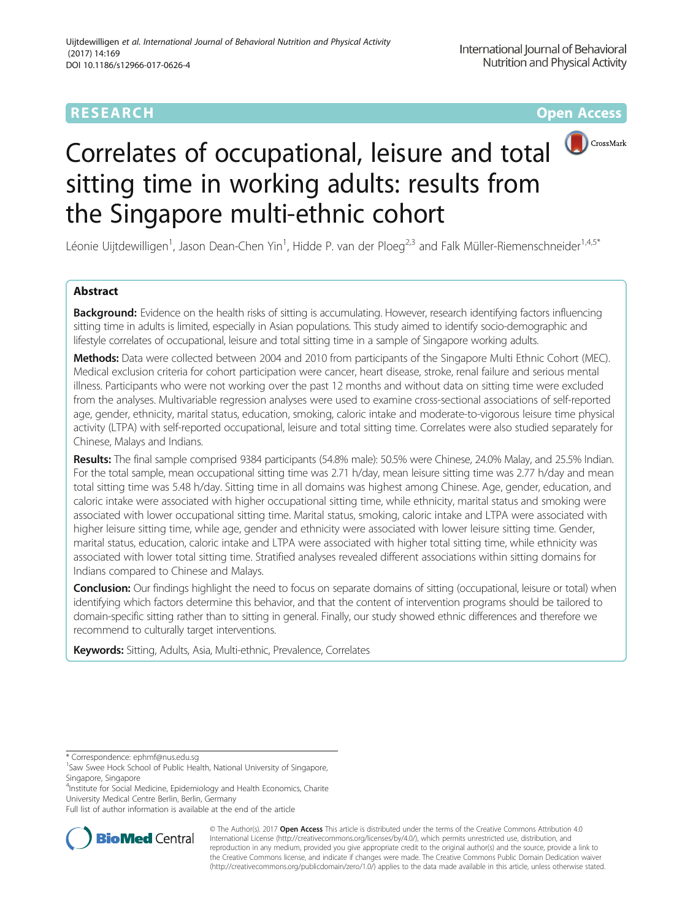# **RESEARCH CHEAR CHEAR CHEAR CHEAR CHEAR CHEAR CHEAR CHEAR CHEAR CHEAR CHEAR CHEAR CHEAR CHEAR CHEAR CHEAR CHEAR**



# Correlates of occupational, leisure and total sitting time in working adults: results from the Singapore multi-ethnic cohort

Léonie Uijtdewilligen<sup>1</sup>, Jason Dean-Chen Yin<sup>1</sup>, Hidde P. van der Ploeg<sup>2,3</sup> and Falk Müller-Riemenschneider<sup>1,4,5\*</sup>

# Abstract

Background: Evidence on the health risks of sitting is accumulating. However, research identifying factors influencing sitting time in adults is limited, especially in Asian populations. This study aimed to identify socio-demographic and lifestyle correlates of occupational, leisure and total sitting time in a sample of Singapore working adults.

Methods: Data were collected between 2004 and 2010 from participants of the Singapore Multi Ethnic Cohort (MEC). Medical exclusion criteria for cohort participation were cancer, heart disease, stroke, renal failure and serious mental illness. Participants who were not working over the past 12 months and without data on sitting time were excluded from the analyses. Multivariable regression analyses were used to examine cross-sectional associations of self-reported age, gender, ethnicity, marital status, education, smoking, caloric intake and moderate-to-vigorous leisure time physical activity (LTPA) with self-reported occupational, leisure and total sitting time. Correlates were also studied separately for Chinese, Malays and Indians.

Results: The final sample comprised 9384 participants (54.8% male): 50.5% were Chinese, 24.0% Malay, and 25.5% Indian. For the total sample, mean occupational sitting time was 2.71 h/day, mean leisure sitting time was 2.77 h/day and mean total sitting time was 5.48 h/day. Sitting time in all domains was highest among Chinese. Age, gender, education, and caloric intake were associated with higher occupational sitting time, while ethnicity, marital status and smoking were associated with lower occupational sitting time. Marital status, smoking, caloric intake and LTPA were associated with higher leisure sitting time, while age, gender and ethnicity were associated with lower leisure sitting time. Gender, marital status, education, caloric intake and LTPA were associated with higher total sitting time, while ethnicity was associated with lower total sitting time. Stratified analyses revealed different associations within sitting domains for Indians compared to Chinese and Malays.

**Conclusion:** Our findings highlight the need to focus on separate domains of sitting (occupational, leisure or total) when identifying which factors determine this behavior, and that the content of intervention programs should be tailored to domain-specific sitting rather than to sitting in general. Finally, our study showed ethnic differences and therefore we recommend to culturally target interventions.

Keywords: Sitting, Adults, Asia, Multi-ethnic, Prevalence, Correlates

4 Institute for Social Medicine, Epidemiology and Health Economics, Charite University Medical Centre Berlin, Berlin, Germany

Full list of author information is available at the end of the article



© The Author(s). 2017 **Open Access** This article is distributed under the terms of the Creative Commons Attribution 4.0 International License [\(http://creativecommons.org/licenses/by/4.0/](http://creativecommons.org/licenses/by/4.0/)), which permits unrestricted use, distribution, and reproduction in any medium, provided you give appropriate credit to the original author(s) and the source, provide a link to the Creative Commons license, and indicate if changes were made. The Creative Commons Public Domain Dedication waiver [\(http://creativecommons.org/publicdomain/zero/1.0/](http://creativecommons.org/publicdomain/zero/1.0/)) applies to the data made available in this article, unless otherwise stated.

<sup>\*</sup> Correspondence: [ephmf@nus.edu.sg](mailto:ephmf@nus.edu.sg) <sup>1</sup>

<sup>&</sup>lt;sup>1</sup> Saw Swee Hock School of Public Health, National University of Singapore, Singapore, Singapore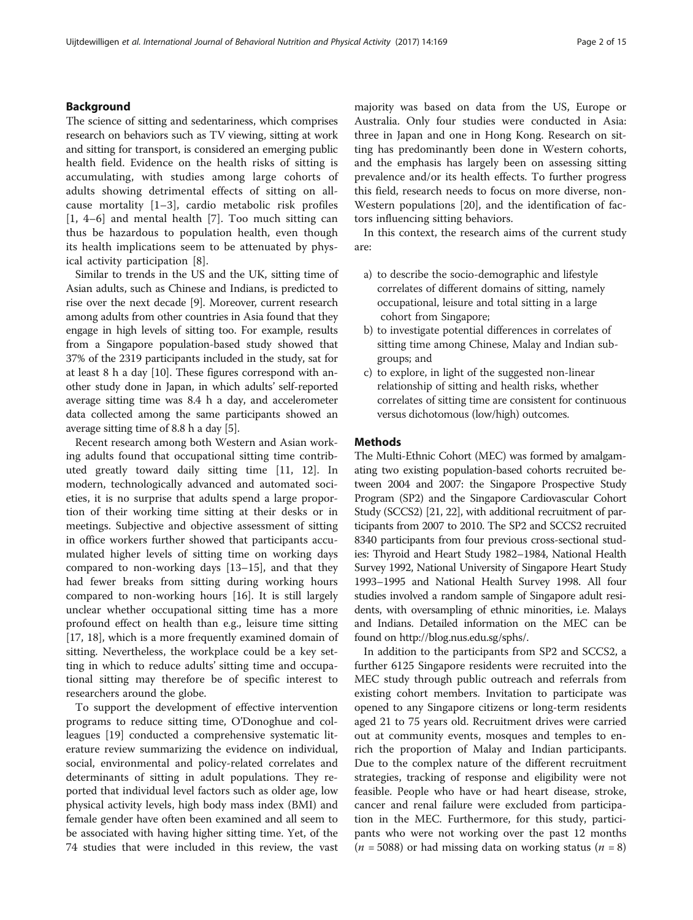### Background

The science of sitting and sedentariness, which comprises research on behaviors such as TV viewing, sitting at work and sitting for transport, is considered an emerging public health field. Evidence on the health risks of sitting is accumulating, with studies among large cohorts of adults showing detrimental effects of sitting on allcause mortality [[1](#page-13-0)–[3\]](#page-13-0), cardio metabolic risk profiles [[1, 4](#page-13-0)–[6\]](#page-13-0) and mental health [\[7](#page-13-0)]. Too much sitting can thus be hazardous to population health, even though its health implications seem to be attenuated by physical activity participation [[8\]](#page-13-0).

Similar to trends in the US and the UK, sitting time of Asian adults, such as Chinese and Indians, is predicted to rise over the next decade [[9](#page-13-0)]. Moreover, current research among adults from other countries in Asia found that they engage in high levels of sitting too. For example, results from a Singapore population-based study showed that 37% of the 2319 participants included in the study, sat for at least 8 h a day [[10\]](#page-13-0). These figures correspond with another study done in Japan, in which adults' self-reported average sitting time was 8.4 h a day, and accelerometer data collected among the same participants showed an average sitting time of 8.8 h a day [\[5](#page-13-0)].

Recent research among both Western and Asian working adults found that occupational sitting time contributed greatly toward daily sitting time [\[11](#page-13-0), [12](#page-13-0)]. In modern, technologically advanced and automated societies, it is no surprise that adults spend a large proportion of their working time sitting at their desks or in meetings. Subjective and objective assessment of sitting in office workers further showed that participants accumulated higher levels of sitting time on working days compared to non-working days [[13](#page-13-0)–[15](#page-13-0)], and that they had fewer breaks from sitting during working hours compared to non-working hours [[16\]](#page-13-0). It is still largely unclear whether occupational sitting time has a more profound effect on health than e.g., leisure time sitting [[17, 18\]](#page-13-0), which is a more frequently examined domain of sitting. Nevertheless, the workplace could be a key setting in which to reduce adults' sitting time and occupational sitting may therefore be of specific interest to researchers around the globe.

To support the development of effective intervention programs to reduce sitting time, O'Donoghue and colleagues [[19\]](#page-13-0) conducted a comprehensive systematic literature review summarizing the evidence on individual, social, environmental and policy-related correlates and determinants of sitting in adult populations. They reported that individual level factors such as older age, low physical activity levels, high body mass index (BMI) and female gender have often been examined and all seem to be associated with having higher sitting time. Yet, of the 74 studies that were included in this review, the vast majority was based on data from the US, Europe or Australia. Only four studies were conducted in Asia: three in Japan and one in Hong Kong. Research on sitting has predominantly been done in Western cohorts, and the emphasis has largely been on assessing sitting prevalence and/or its health effects. To further progress this field, research needs to focus on more diverse, non-Western populations [[20](#page-13-0)], and the identification of factors influencing sitting behaviors.

In this context, the research aims of the current study are:

- a) to describe the socio-demographic and lifestyle correlates of different domains of sitting, namely occupational, leisure and total sitting in a large cohort from Singapore;
- b) to investigate potential differences in correlates of sitting time among Chinese, Malay and Indian subgroups; and
- c) to explore, in light of the suggested non-linear relationship of sitting and health risks, whether correlates of sitting time are consistent for continuous versus dichotomous (low/high) outcomes.

#### Methods

The Multi-Ethnic Cohort (MEC) was formed by amalgamating two existing population-based cohorts recruited between 2004 and 2007: the Singapore Prospective Study Program (SP2) and the Singapore Cardiovascular Cohort Study (SCCS2) [\[21, 22\]](#page-13-0), with additional recruitment of participants from 2007 to 2010. The SP2 and SCCS2 recruited 8340 participants from four previous cross-sectional studies: Thyroid and Heart Study 1982–1984, National Health Survey 1992, National University of Singapore Heart Study 1993–1995 and National Health Survey 1998. All four studies involved a random sample of Singapore adult residents, with oversampling of ethnic minorities, i.e. Malays and Indians. Detailed information on the MEC can be found on [http://blog.nus.edu.sg/sphs/.](http://blog.nus.edu.sg/sphs/)

In addition to the participants from SP2 and SCCS2, a further 6125 Singapore residents were recruited into the MEC study through public outreach and referrals from existing cohort members. Invitation to participate was opened to any Singapore citizens or long-term residents aged 21 to 75 years old. Recruitment drives were carried out at community events, mosques and temples to enrich the proportion of Malay and Indian participants. Due to the complex nature of the different recruitment strategies, tracking of response and eligibility were not feasible. People who have or had heart disease, stroke, cancer and renal failure were excluded from participation in the MEC. Furthermore, for this study, participants who were not working over the past 12 months  $(n = 5088)$  or had missing data on working status  $(n = 8)$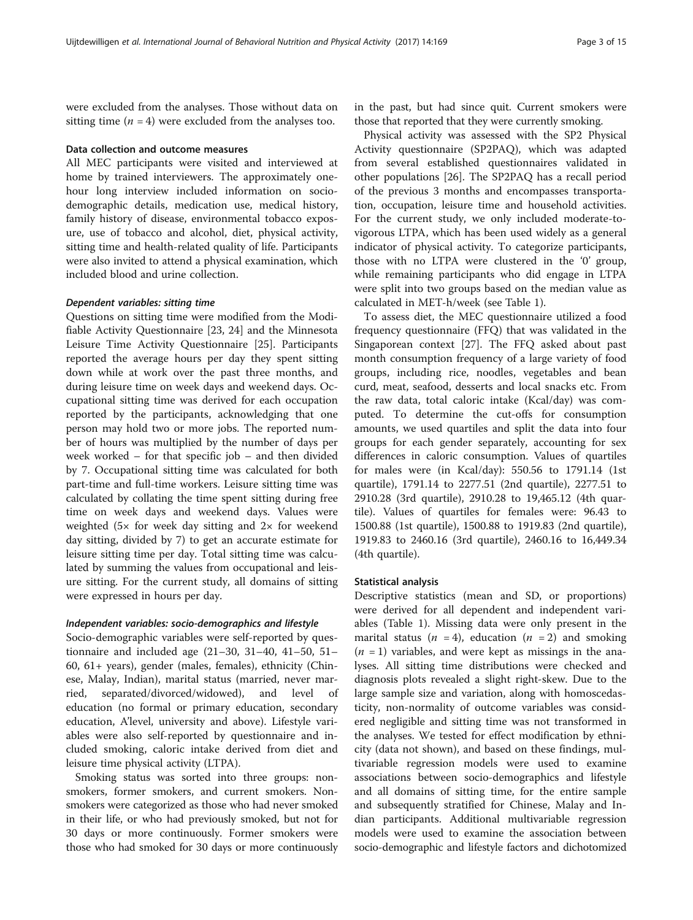were excluded from the analyses. Those without data on sitting time  $(n = 4)$  were excluded from the analyses too.

#### Data collection and outcome measures

All MEC participants were visited and interviewed at home by trained interviewers. The approximately onehour long interview included information on sociodemographic details, medication use, medical history, family history of disease, environmental tobacco exposure, use of tobacco and alcohol, diet, physical activity, sitting time and health-related quality of life. Participants were also invited to attend a physical examination, which included blood and urine collection.

#### Dependent variables: sitting time

Questions on sitting time were modified from the Modifiable Activity Questionnaire [\[23, 24](#page-13-0)] and the Minnesota Leisure Time Activity Questionnaire [[25](#page-13-0)]. Participants reported the average hours per day they spent sitting down while at work over the past three months, and during leisure time on week days and weekend days. Occupational sitting time was derived for each occupation reported by the participants, acknowledging that one person may hold two or more jobs. The reported number of hours was multiplied by the number of days per week worked – for that specific job – and then divided by 7. Occupational sitting time was calculated for both part-time and full-time workers. Leisure sitting time was calculated by collating the time spent sitting during free time on week days and weekend days. Values were weighted (5× for week day sitting and 2× for weekend day sitting, divided by 7) to get an accurate estimate for leisure sitting time per day. Total sitting time was calculated by summing the values from occupational and leisure sitting. For the current study, all domains of sitting were expressed in hours per day.

#### Independent variables: socio-demographics and lifestyle

Socio-demographic variables were self-reported by questionnaire and included age (21–30, 31–40, 41–50, 51– 60, 61+ years), gender (males, females), ethnicity (Chinese, Malay, Indian), marital status (married, never married, separated/divorced/widowed), and level of education (no formal or primary education, secondary education, A'level, university and above). Lifestyle variables were also self-reported by questionnaire and included smoking, caloric intake derived from diet and leisure time physical activity (LTPA).

Smoking status was sorted into three groups: nonsmokers, former smokers, and current smokers. Nonsmokers were categorized as those who had never smoked in their life, or who had previously smoked, but not for 30 days or more continuously. Former smokers were those who had smoked for 30 days or more continuously in the past, but had since quit. Current smokers were those that reported that they were currently smoking.

Physical activity was assessed with the SP2 Physical Activity questionnaire (SP2PAQ), which was adapted from several established questionnaires validated in other populations [[26](#page-13-0)]. The SP2PAQ has a recall period of the previous 3 months and encompasses transportation, occupation, leisure time and household activities. For the current study, we only included moderate-tovigorous LTPA, which has been used widely as a general indicator of physical activity. To categorize participants, those with no LTPA were clustered in the '0' group, while remaining participants who did engage in LTPA were split into two groups based on the median value as calculated in MET-h/week (see Table [1](#page-4-0)).

To assess diet, the MEC questionnaire utilized a food frequency questionnaire (FFQ) that was validated in the Singaporean context [[27](#page-13-0)]. The FFQ asked about past month consumption frequency of a large variety of food groups, including rice, noodles, vegetables and bean curd, meat, seafood, desserts and local snacks etc. From the raw data, total caloric intake (Kcal/day) was computed. To determine the cut-offs for consumption amounts, we used quartiles and split the data into four groups for each gender separately, accounting for sex differences in caloric consumption. Values of quartiles for males were (in Kcal/day): 550.56 to 1791.14 (1st quartile), 1791.14 to 2277.51 (2nd quartile), 2277.51 to 2910.28 (3rd quartile), 2910.28 to 19,465.12 (4th quartile). Values of quartiles for females were: 96.43 to 1500.88 (1st quartile), 1500.88 to 1919.83 (2nd quartile), 1919.83 to 2460.16 (3rd quartile), 2460.16 to 16,449.34 (4th quartile).

#### Statistical analysis

Descriptive statistics (mean and SD, or proportions) were derived for all dependent and independent variables (Table [1](#page-4-0)). Missing data were only present in the marital status ( $n = 4$ ), education ( $n = 2$ ) and smoking  $(n = 1)$  variables, and were kept as missings in the analyses. All sitting time distributions were checked and diagnosis plots revealed a slight right-skew. Due to the large sample size and variation, along with homoscedasticity, non-normality of outcome variables was considered negligible and sitting time was not transformed in the analyses. We tested for effect modification by ethnicity (data not shown), and based on these findings, multivariable regression models were used to examine associations between socio-demographics and lifestyle and all domains of sitting time, for the entire sample and subsequently stratified for Chinese, Malay and Indian participants. Additional multivariable regression models were used to examine the association between socio-demographic and lifestyle factors and dichotomized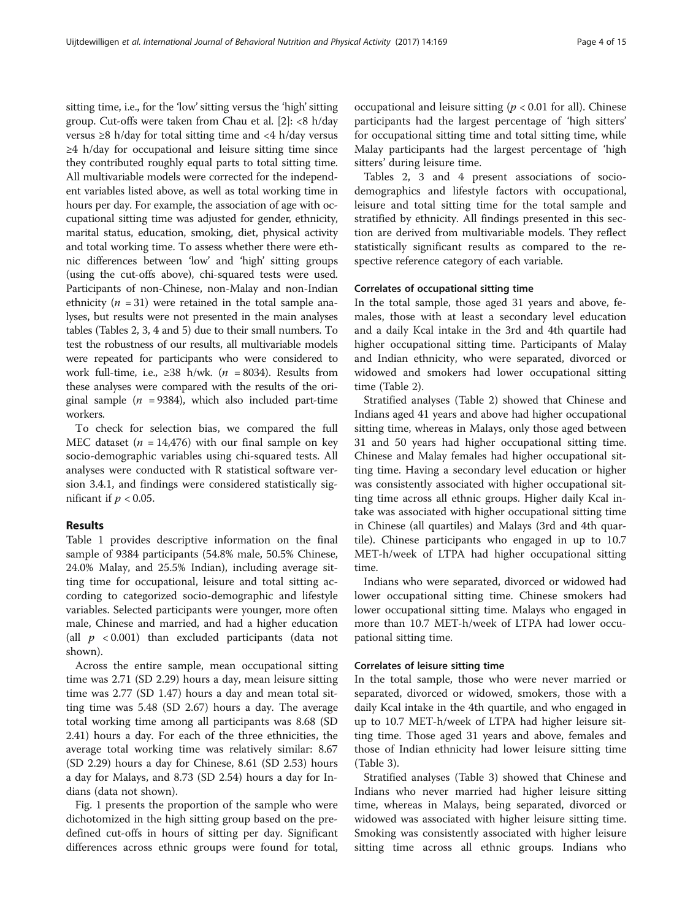sitting time, i.e., for the 'low' sitting versus the 'high' sitting group. Cut-offs were taken from Chau et al. [[2](#page-13-0)]: <8 h/day versus ≥8 h/day for total sitting time and <4 h/day versus ≥4 h/day for occupational and leisure sitting time since they contributed roughly equal parts to total sitting time. All multivariable models were corrected for the independent variables listed above, as well as total working time in hours per day. For example, the association of age with occupational sitting time was adjusted for gender, ethnicity, marital status, education, smoking, diet, physical activity and total working time. To assess whether there were ethnic differences between 'low' and 'high' sitting groups (using the cut-offs above), chi-squared tests were used. Participants of non-Chinese, non-Malay and non-Indian ethnicity ( $n = 31$ ) were retained in the total sample analyses, but results were not presented in the main analyses tables (Tables [2,](#page-5-0) [3](#page-6-0), [4](#page-7-0) and [5](#page-8-0)) due to their small numbers. To test the robustness of our results, all multivariable models were repeated for participants who were considered to work full-time, i.e.,  $\geq 38$  h/wk. (*n* = 8034). Results from these analyses were compared with the results of the original sample ( $n = 9384$ ), which also included part-time workers.

To check for selection bias, we compared the full MEC dataset ( $n = 14,476$ ) with our final sample on key socio-demographic variables using chi-squared tests. All analyses were conducted with R statistical software version 3.4.1, and findings were considered statistically significant if  $p < 0.05$ .

# Results

Table [1](#page-4-0) provides descriptive information on the final sample of 9384 participants (54.8% male, 50.5% Chinese, 24.0% Malay, and 25.5% Indian), including average sitting time for occupational, leisure and total sitting according to categorized socio-demographic and lifestyle variables. Selected participants were younger, more often male, Chinese and married, and had a higher education (all  $p < 0.001$ ) than excluded participants (data not shown).

Across the entire sample, mean occupational sitting time was 2.71 (SD 2.29) hours a day, mean leisure sitting time was 2.77 (SD 1.47) hours a day and mean total sitting time was 5.48 (SD 2.67) hours a day. The average total working time among all participants was 8.68 (SD 2.41) hours a day. For each of the three ethnicities, the average total working time was relatively similar: 8.67 (SD 2.29) hours a day for Chinese, 8.61 (SD 2.53) hours a day for Malays, and 8.73 (SD 2.54) hours a day for Indians (data not shown).

Fig. [1](#page-9-0) presents the proportion of the sample who were dichotomized in the high sitting group based on the predefined cut-offs in hours of sitting per day. Significant differences across ethnic groups were found for total, occupational and leisure sitting ( $p < 0.01$  for all). Chinese participants had the largest percentage of 'high sitters' for occupational sitting time and total sitting time, while Malay participants had the largest percentage of 'high sitters' during leisure time.

Tables [2,](#page-5-0) [3](#page-6-0) and [4](#page-7-0) present associations of sociodemographics and lifestyle factors with occupational, leisure and total sitting time for the total sample and stratified by ethnicity. All findings presented in this section are derived from multivariable models. They reflect statistically significant results as compared to the respective reference category of each variable.

#### Correlates of occupational sitting time

In the total sample, those aged 31 years and above, females, those with at least a secondary level education and a daily Kcal intake in the 3rd and 4th quartile had higher occupational sitting time. Participants of Malay and Indian ethnicity, who were separated, divorced or widowed and smokers had lower occupational sitting time (Table [2](#page-5-0)).

Stratified analyses (Table [2](#page-5-0)) showed that Chinese and Indians aged 41 years and above had higher occupational sitting time, whereas in Malays, only those aged between 31 and 50 years had higher occupational sitting time. Chinese and Malay females had higher occupational sitting time. Having a secondary level education or higher was consistently associated with higher occupational sitting time across all ethnic groups. Higher daily Kcal intake was associated with higher occupational sitting time in Chinese (all quartiles) and Malays (3rd and 4th quartile). Chinese participants who engaged in up to 10.7 MET-h/week of LTPA had higher occupational sitting time.

Indians who were separated, divorced or widowed had lower occupational sitting time. Chinese smokers had lower occupational sitting time. Malays who engaged in more than 10.7 MET-h/week of LTPA had lower occupational sitting time.

#### Correlates of leisure sitting time

In the total sample, those who were never married or separated, divorced or widowed, smokers, those with a daily Kcal intake in the 4th quartile, and who engaged in up to 10.7 MET-h/week of LTPA had higher leisure sitting time. Those aged 31 years and above, females and those of Indian ethnicity had lower leisure sitting time (Table [3\)](#page-6-0).

Stratified analyses (Table [3](#page-6-0)) showed that Chinese and Indians who never married had higher leisure sitting time, whereas in Malays, being separated, divorced or widowed was associated with higher leisure sitting time. Smoking was consistently associated with higher leisure sitting time across all ethnic groups. Indians who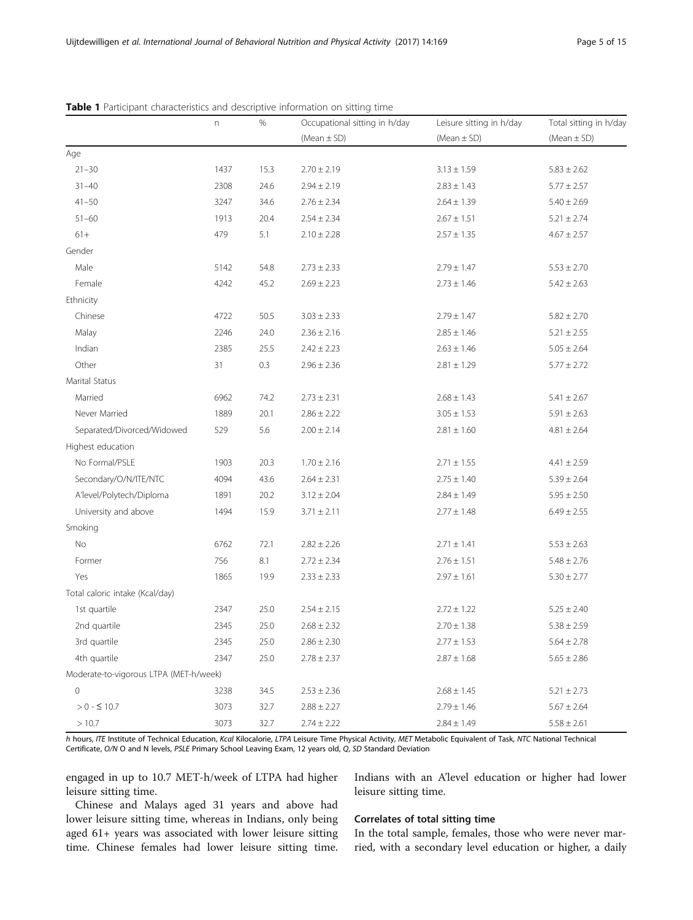|                                        | n    | $\%$ | Occupational sitting in h/day | Leisure sitting in h/day | Total sitting in h/day |
|----------------------------------------|------|------|-------------------------------|--------------------------|------------------------|
|                                        |      |      | $(Mean \pm SD)$               | $(Mean \pm SD)$          | $(Mean \pm SD)$        |
| Age                                    |      |      |                               |                          |                        |
| $21 - 30$                              | 1437 | 15.3 | $2.70 \pm 2.19$               | $3.13 \pm 1.59$          | $5.83 \pm 2.62$        |
| $31 - 40$                              | 2308 | 24.6 | $2.94 \pm 2.19$               | $2.83 \pm 1.43$          | $5.77 \pm 2.57$        |
| $41 - 50$                              | 3247 | 34.6 | $2.76 \pm 2.34$               | $2.64 \pm 1.39$          | $5.40 \pm 2.69$        |
| $51 - 60$                              | 1913 | 20.4 | $2.54 \pm 2.34$               | $2.67 \pm 1.51$          | $5.21 \pm 2.74$        |
| $61+$                                  | 479  | 5.1  | $2.10 \pm 2.28$               | $2.57\pm1.35$            | $4.67 \pm 2.57$        |
| Gender                                 |      |      |                               |                          |                        |
| Male                                   | 5142 | 54.8 | $2.73 \pm 2.33$               | $2.79 \pm 1.47$          | $5.53 \pm 2.70$        |
| Female                                 | 4242 | 45.2 | $2.69 \pm 2.23$               | $2.73 \pm 1.46$          | $5.42 \pm 2.63$        |
| Ethnicity                              |      |      |                               |                          |                        |
| Chinese                                | 4722 | 50.5 | $3.03 \pm 2.33$               | $2.79 \pm 1.47$          | $5.82 \pm 2.70$        |
| Malay                                  | 2246 | 24.0 | $2.36 \pm 2.16$               | $2.85 \pm 1.46$          | $5.21 \pm 2.55$        |
| Indian                                 | 2385 | 25.5 | $2.42 \pm 2.23$               | $2.63 \pm 1.46$          | $5.05 \pm 2.64$        |
| Other                                  | 31   | 0.3  | $2.96 \pm 2.36$               | $2.81 \pm 1.29$          | $5.77 \pm 2.72$        |
| Marital Status                         |      |      |                               |                          |                        |
| Married                                | 6962 | 74.2 | $2.73 \pm 2.31$               | $2.68 \pm 1.43$          | $5.41 \pm 2.67$        |
| Never Married                          | 1889 | 20.1 | $2.86 \pm 2.22$               | $3.05 \pm 1.53$          | $5.91 \pm 2.63$        |
| Separated/Divorced/Widowed             | 529  | 5.6  | $2.00 \pm 2.14$               | $2.81 \pm 1.60$          | $4.81 \pm 2.64$        |
| Highest education                      |      |      |                               |                          |                        |
| No Formal/PSLE                         | 1903 | 20.3 | $1.70 \pm 2.16$               | $2.71 \pm 1.55$          | $4.41 \pm 2.59$        |
| Secondary/O/N/ITE/NTC                  | 4094 | 43.6 | $2.64 \pm 2.31$               | $2.75 \pm 1.40$          | $5.39 \pm 2.64$        |
| A'level/Polytech/Diploma               | 1891 | 20.2 | $3.12 \pm 2.04$               | $2.84 \pm 1.49$          | $5.95 \pm 2.50$        |
| University and above                   | 1494 | 15.9 | $3.71 \pm 2.11$               | $2.77 \pm 1.48$          | $6.49 \pm 2.55$        |
| Smoking                                |      |      |                               |                          |                        |
| No                                     | 6762 | 72.1 | $2.82 \pm 2.26$               | $2.71 \pm 1.41$          | $5.53 \pm 2.63$        |
| Former                                 | 756  | 8.1  | $2.72 \pm 2.34$               | $2.76 \pm 1.51$          | $5.48 \pm 2.76$        |
| Yes                                    | 1865 | 19.9 | $2.33 \pm 2.33$               | $2.97 \pm 1.61$          | $5.30 \pm 2.77$        |
| Total caloric intake (Kcal/day)        |      |      |                               |                          |                        |
| 1st quartile                           | 2347 | 25.0 | $2.54 \pm 2.15$               | $2.72 \pm 1.22$          | $5.25 \pm 2.40$        |
| 2nd quartile                           | 2345 | 25.0 | $2.68 \pm 2.32$               | $2.70 \pm 1.38$          | $5.38 \pm 2.59$        |
| 3rd quartile                           | 2345 | 25.0 | $2.86 \pm 2.30$               | $2.77 \pm 1.53$          | $5.64 \pm 2.78$        |
| 4th quartile                           | 2347 | 25.0 | $2.78 \pm 2.37$               | $2.87 \pm 1.68$          | $5.65 \pm 2.86$        |
| Moderate-to-vigorous LTPA (MET-h/week) |      |      |                               |                          |                        |
| 0                                      | 3238 | 34.5 | $2.53 \pm 2.36$               | $2.68 \pm 1.45$          | $5.21 \pm 2.73$        |
| $> 0 - 5 10.7$                         | 3073 | 32.7 | $2.88 \pm 2.27$               | $2.79 \pm 1.46$          | $5.67 \pm 2.64$        |
| >10.7                                  | 3073 | 32.7 | $2.74 \pm 2.22$               | $2.84 \pm 1.49$          | $5.58 \pm 2.61$        |

<span id="page-4-0"></span>Table 1 Participant characteristics and descriptive information on sitting time

h hours, ITE Institute of Technical Education, Kcal Kilocalorie, LTPA Leisure Time Physical Activity, MET Metabolic Equivalent of Task, NTC National Technical Certificate, O/N O and N levels, PSLE Primary School Leaving Exam, 12 years old, Q, SD Standard Deviation

engaged in up to 10.7 MET-h/week of LTPA had higher leisure sitting time.

Indians with an A'level education or higher had lower leisure sitting time.

Chinese and Malays aged 31 years and above had lower leisure sitting time, whereas in Indians, only being aged 61+ years was associated with lower leisure sitting time. Chinese females had lower leisure sitting time.

# Correlates of total sitting time

In the total sample, females, those who were never married, with a secondary level education or higher, a daily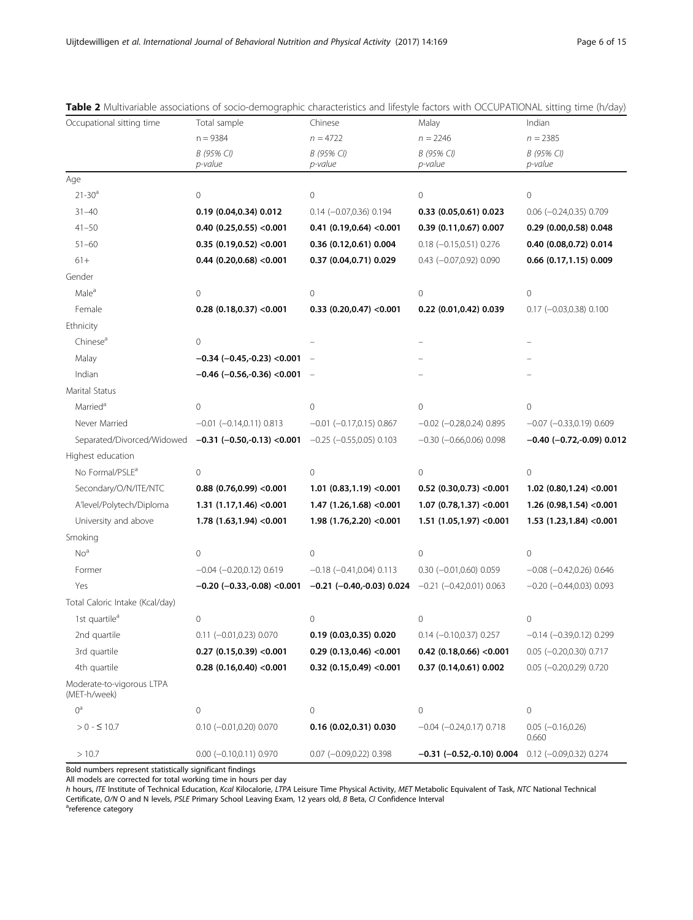| Occupational sitting time                 | Total sample                        | Chinese                       | Malay                                               | Indian                           |
|-------------------------------------------|-------------------------------------|-------------------------------|-----------------------------------------------------|----------------------------------|
|                                           | $n = 9384$                          | $n = 4722$                    | $n = 2246$                                          | $n = 2385$                       |
|                                           | B (95% CI)<br>p-value               | B (95% CI)<br>p-value         | B (95% CI)<br>p-value                               | B (95% CI)<br>p-value            |
| Age                                       |                                     |                               |                                                     |                                  |
| $21 - 30a$                                | 0                                   | $\mathbf{0}$                  | $\mathbf{0}$                                        | $\circ$                          |
| $31 - 40$                                 | 0.19 (0.04,0.34) 0.012              | $0.14 (-0.07, 0.36) 0.194$    | 0.33 (0.05,0.61) 0.023                              | $0.06$ (-0.24,0.35) 0.709        |
| $41 - 50$                                 | $0.40$ (0.25,0.55) <0.001           | $0.41$ (0.19,0.64) < 0.001    | 0.39 (0.11,0.67) 0.007                              | 0.29 (0.00,0.58) 0.048           |
| $51 - 60$                                 | $0.35(0.19, 0.52)$ < 0.001          | 0.36 (0.12,0.61) 0.004        | $0.18$ (-0.15,0.51) 0.276                           | 0.40 (0.08,0.72) 0.014           |
| $61+$                                     | $0.44$ (0.20,0.68) < 0.001          | 0.37 (0.04,0.71) 0.029        | $0.43$ (-0.07,0.92) 0.090                           | 0.66 (0.17,1.15) 0.009           |
| Gender                                    |                                     |                               |                                                     |                                  |
| Male <sup>a</sup>                         | 0                                   | $\mathbf{0}$                  | $\mathbf{0}$                                        | $\mathbf 0$                      |
| Female                                    | $0.28$ (0.18,0.37) <0.001           | $0.33$ (0.20,0.47) <0.001     | 0.22 (0.01,0.42) 0.039                              | $0.17$ (-0.03,0.38) 0.100        |
| Ethnicity                                 |                                     |                               |                                                     |                                  |
| Chinese <sup>a</sup>                      | $\circ$                             |                               |                                                     |                                  |
| Malay                                     | $-0.34$ ( $-0.45, -0.23$ ) <0.001   |                               |                                                     |                                  |
| Indian                                    | $-0.46$ ( $-0.56, -0.36$ ) <0.001 - |                               |                                                     |                                  |
| Marital Status                            |                                     |                               |                                                     |                                  |
| Married <sup>a</sup>                      | 0                                   | $\mathbf{0}$                  | $\circ$                                             | 0                                |
| Never Married                             | $-0.01$ $(-0.14, 0.11)$ 0.813       | $-0.01$ $(-0.17,0.15)$ 0.867  | $-0.02$ ( $-0.28,0.24$ ) 0.895                      | $-0.07$ $(-0.33,0.19)$ 0.609     |
| Separated/Divorced/Widowed                | $-0.31$ ( $-0.50, -0.13$ ) <0.001   | $-0.25$ $(-0.55,0.05)$ 0.103  | $-0.30$ ( $-0.66,0.06$ ) 0.098                      | $-0.40$ ( $-0.72, -0.09$ ) 0.012 |
| Highest education                         |                                     |                               |                                                     |                                  |
| No Formal/PSLE <sup>a</sup>               | 0                                   | $\mathbf{0}$                  | $\circ$                                             | 0                                |
| Secondary/O/N/ITE/NTC                     | $0.88$ (0.76,0.99) < 0.001          | $1.01$ (0.83,1.19) < 0.001    | $0.52$ (0.30,0.73) <0.001                           | $1.02$ (0.80, 1.24) < 0.001      |
| A'level/Polytech/Diploma                  | $1.31$ (1.17,1.46) < 0.001          | $1.47$ (1.26,1.68) < 0.001    | $1.07$ (0.78,1.37) < 0.001                          | $1.26$ (0.98,1.54) < 0.001       |
| University and above                      | $1.78$ (1.63,1.94) < 0.001          | $1.98$ (1.76,2.20) < 0.001    | $1.51$ (1.05,1.97) < 0.001                          | $1.53$ (1.23,1.84) < 0.001       |
| Smoking                                   |                                     |                               |                                                     |                                  |
| No <sup>a</sup>                           | 0                                   | $\mathbf 0$                   | $\mathbf 0$                                         | $\mathbf 0$                      |
| Former                                    | $-0.04$ $(-0.20,0.12)$ 0.619        | $-0.18$ $(-0.41, 0.04)$ 0.113 | $0.30$ (-0.01,0.60) 0.059                           | $-0.08$ $(-0.42, 0.26)$ 0.646    |
| Yes                                       | $-0.20$ ( $-0.33, -0.08$ ) <0.001   | $-0.21$ (-0.40,-0.03) 0.024   | $-0.21$ $(-0.42,0.01)$ 0.063                        | $-0.20$ $(-0.44, 0.03)$ 0.093    |
| Total Caloric Intake (Kcal/day)           |                                     |                               |                                                     |                                  |
| 1st quartile <sup>a</sup>                 | 0                                   | 0                             | $\mathbf 0$                                         | 0                                |
| 2nd quartile                              | $0.11$ (-0.01,0.23) 0.070           | 0.19 (0.03,0.35) 0.020        | $0.14 (-0.10, 0.37) 0.257$                          | $-0.14$ $(-0.39, 0.12)$ 0.299    |
| 3rd quartile                              | $0.27$ (0.15,0.39) <0.001           | $0.29$ (0.13,0.46) <0.001     | $0.42$ (0.18,0.66) <0.001                           | $0.05$ (-0.20,0.30) 0.717        |
| 4th quartile                              | $0.28$ (0.16,0.40) <0.001           | $0.32$ (0.15,0.49) <0.001     | 0.37 (0.14,0.61) 0.002                              | $0.05$ (-0.20,0.29) 0.720        |
| Moderate-to-vigorous LTPA<br>(MET-h/week) |                                     |                               |                                                     |                                  |
| O <sup>a</sup>                            | 0                                   | $\mathbf{0}$                  | 0                                                   | $\mathsf{O}\xspace$              |
| $> 0 - 510.7$                             | $0.10$ (-0.01,0.20) 0.070           | 0.16 (0.02,0.31) 0.030        | $-0.04$ $(-0.24, 0.17)$ 0.718                       | $0.05$ (-0.16,0.26)<br>0.660     |
| >10.7                                     | $0.00$ ( $-0.10,0.11$ ) 0.970       | $0.07$ ( $-0.09,0.22$ ) 0.398 | $-0.31$ (-0.52,-0.10) 0.004 0.12 (-0.09,0.32) 0.274 |                                  |

<span id="page-5-0"></span>

| Table 2 Multivariable associations of socio-demographic characteristics and lifestyle factors with OCCUPATIONAL sitting time (h/day) |  |  |  |
|--------------------------------------------------------------------------------------------------------------------------------------|--|--|--|
|--------------------------------------------------------------------------------------------------------------------------------------|--|--|--|

Bold numbers represent statistically significant findings

All models are corrected for total working time in hours per day<br>*h* hours, ITE Institute of Technical Education, *Kcal K*ilocalorie, LTPA Leisure Time Physical Activity, *MET* Metabolic Equivalent of Task, NTC National Te Certificate, O/N O and N levels, PSLE Primary School Leaving Exam, 12 years old, B Beta, CI Confidence Interval

areference category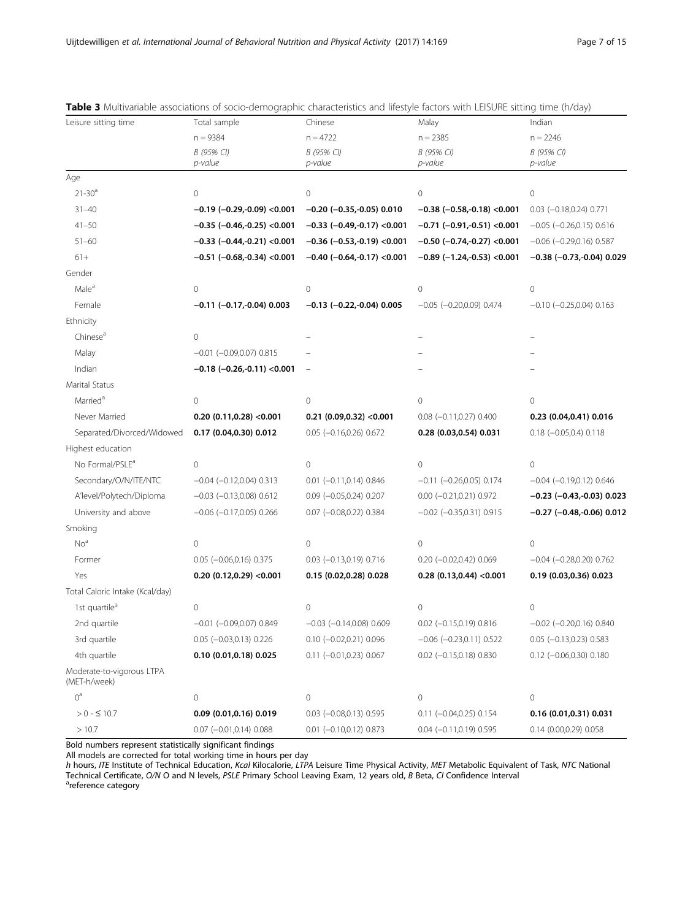| Leisure sitting time                      | Total sample                      | Chinese                           | Malay                                | Indian                           |
|-------------------------------------------|-----------------------------------|-----------------------------------|--------------------------------------|----------------------------------|
|                                           | $n = 9384$                        | $n = 4722$                        | $n = 2385$                           | $n = 2246$                       |
|                                           | B (95% CI)<br>p-value             | B (95% CI)<br>p-value             | B (95% CI)<br>p-value                | B (95% CI)<br>p-value            |
| Age                                       |                                   |                                   |                                      |                                  |
| $21 - 30^a$                               | 0                                 | $\mathbf{0}$                      | $\mathbf 0$                          | 0                                |
| $31 - 40$                                 | $-0.19$ (-0.29,-0.09) <0.001      | $-0.20$ ( $-0.35, -0.05$ ) 0.010  | $-0.38$ ( $-0.58$ , $-0.18$ ) <0.001 | $0.03$ (-0.18,0.24) 0.771        |
| $41 - 50$                                 | $-0.35$ (-0.46,-0.25) <0.001      | $-0.33$ ( $-0.49, -0.17$ ) <0.001 | $-0.71$ ( $-0.91, -0.51$ ) <0.001    | $-0.05$ ( $-0.26,0.15$ ) 0.616   |
| $51 - 60$                                 | $-0.33$ ( $-0.44, -0.21$ ) <0.001 | $-0.36$ ( $-0.53, -0.19$ ) <0.001 | $-0.50$ ( $-0.74, -0.27$ ) <0.001    | $-0.06$ ( $-0.29,0.16$ ) 0.587   |
| $61+$                                     | $-0.51$ ( $-0.68, -0.34$ ) <0.001 | $-0.40$ ( $-0.64, -0.17$ ) <0.001 | $-0.89$ (-1.24,-0.53) <0.001         | $-0.38$ ( $-0.73, -0.04$ ) 0.029 |
| Gender                                    |                                   |                                   |                                      |                                  |
| Male <sup>a</sup>                         | $\mathbf{0}$                      | 0                                 | $\mathbf 0$                          | 0                                |
| Female                                    | $-0.11$ ( $-0.17, -0.04$ ) 0.003  | $-0.13$ ( $-0.22, -0.04$ ) 0.005  | $-0.05$ $(-0.20,0.09)$ 0.474         | $-0.10$ $(-0.25,0.04)$ 0.163     |
| Ethnicity                                 |                                   |                                   |                                      |                                  |
| Chinese <sup>a</sup>                      | 0                                 |                                   |                                      |                                  |
| Malay                                     | $-0.01$ $(-0.09, 0.07)$ 0.815     |                                   |                                      |                                  |
| Indian                                    | $-0.18$ (-0.26,-0.11) <0.001      |                                   |                                      |                                  |
| Marital Status                            |                                   |                                   |                                      |                                  |
| Married <sup>a</sup>                      | 0                                 | 0                                 | $\mathbf{0}$                         | 0                                |
| Never Married                             | $0.20$ (0.11,0.28) < 0.001        | $0.21$ (0.09,0.32) <0.001         | $0.08$ (-0.11,0.27) 0.400            | 0.23 (0.04,0.41) 0.016           |
| Separated/Divorced/Widowed                | 0.17 (0.04,0.30) 0.012            | $0.05$ (-0.16,0.26) 0.672         | 0.28 (0.03,0.54) 0.031               | $0.18$ (-0.05,0.4) $0.118$       |
| Highest education                         |                                   |                                   |                                      |                                  |
| No Formal/PSLE <sup>a</sup>               | 0                                 | 0                                 | $\mathbf 0$                          | 0                                |
| Secondary/O/N/ITE/NTC                     | $-0.04$ ( $-0.12,0.04$ ) 0.313    | $0.01$ (-0.11,0.14) 0.846         | $-0.11$ $(-0.26,0.05)$ 0.174         | $-0.04$ ( $-0.19,0.12$ ) 0.646   |
| A'level/Polytech/Diploma                  | $-0.03$ $(-0.13,0.08)$ 0.612      | $0.09$ ( $-0.05, 0.24$ ) 0.207    | $0.00 (-0.21, 0.21) 0.972$           | $-0.23$ ( $-0.43, -0.03$ ) 0.023 |
| University and above                      | $-0.06$ ( $-0.17,0.05$ ) 0.266    | $0.07$ ( $-0.08,0.22$ ) 0.384     | $-0.02$ ( $-0.35,0.31$ ) 0.915       | $-0.27$ ( $-0.48, -0.06$ ) 0.012 |
| Smoking                                   |                                   |                                   |                                      |                                  |
| No <sup>a</sup>                           | 0                                 | 0                                 | $\mathbf 0$                          | 0                                |
| Former                                    | $0.05$ (-0.06,0.16) 0.375         | $0.03$ (-0.13,0.19) 0.716         | $0.20$ (-0.02,0.42) 0.069            | $-0.04$ $(-0.28,0.20)$ 0.762     |
| Yes                                       | $0.20$ (0.12,0.29) <0.001         | 0.15 (0.02,0.28) 0.028            | $0.28$ (0.13,0.44) < 0.001           | 0.19 (0.03,0.36) 0.023           |
| Total Caloric Intake (Kcal/day)           |                                   |                                   |                                      |                                  |
| 1st quartile <sup>a</sup>                 | 0                                 | 0                                 | $\mathbf 0$                          | 0                                |
| 2nd quartile                              | $-0.01$ $(-0.09, 0.07)$ 0.849     | $-0.03$ $(-0.14,0.08)$ 0.609      | $0.02$ (-0.15,0.19) 0.816            | $-0.02$ $(-0.20,0.16)$ 0.840     |
| 3rd quartile                              | $0.05$ (-0.03,0.13) 0.226         | $0.10$ (-0.02,0.21) 0.096         | $-0.06$ $(-0.23,0.11)$ 0.522         | $0.05$ (-0.13,0.23) 0.583        |
| 4th quartile                              | 0.10 (0.01,0.18) 0.025            | $0.11$ (-0.01,0.23) 0.067         | $0.02$ (-0.15,0.18) 0.830            | $0.12$ (-0.06,0.30) 0.180        |
| Moderate-to-vigorous LTPA<br>(MET-h/week) |                                   |                                   |                                      |                                  |
| O <sup>a</sup>                            | $\mathbf 0$                       | $\mathsf{O}\xspace$               | $\mathbf 0$                          | 0                                |
| $> 0 - 5 10.7$                            | 0.09 (0.01,0.16) 0.019            | $0.03$ (-0.08,0.13) 0.595         | $0.11$ (-0.04,0.25) 0.154            | 0.16 (0.01,0.31) 0.031           |
| >10.7                                     | $0.07$ ( $-0.01, 0.14$ ) 0.088    | $0.01$ (-0.10,0.12) 0.873         | $0.04$ (-0.11,0.19) 0.595            | 0.14 (0.00,0.29) 0.058           |

<span id="page-6-0"></span>

| Table 3 Multivariable associations of socio-demographic characteristics and lifestyle factors with LEISURE sitting time (h/day) |  |  |
|---------------------------------------------------------------------------------------------------------------------------------|--|--|
|                                                                                                                                 |  |  |

Bold numbers represent statistically significant findings

All models are corrected for total working time in hours per day<br>*h* hours, ITE Institute of Technical Education, *Kcal* Kilocalorie, LTPA Leisure Time Physical Activity, MET Metabolic Equivalent of Task, NTC National Technical Certificate, O/N O and N levels, PSLE Primary School Leaving Exam, 12 years old, B Beta, CI Confidence Interval areference category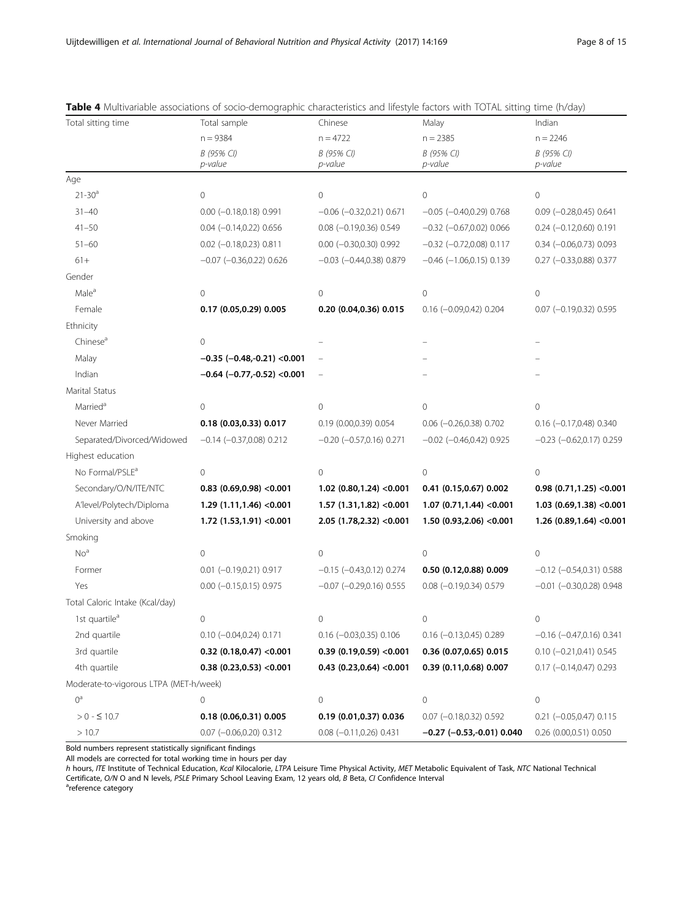| Total sitting time                     | Total sample                      | Chinese                        | Malay                            | Indian                         |
|----------------------------------------|-----------------------------------|--------------------------------|----------------------------------|--------------------------------|
|                                        | $n = 9384$                        | $n = 4722$                     | $n = 2385$                       | $n = 2246$                     |
|                                        | B (95% CI)<br>p-value             | B (95% CI)<br>p-value          | B (95% CI)<br>p-value            | B (95% CI)<br>p-value          |
| Age                                    |                                   |                                |                                  |                                |
| $21 - 30a$                             | 0                                 | $\mathbf 0$                    | $\mathbf 0$                      | $\mathsf{O}\xspace$            |
| $31 - 40$                              | $0.00$ (-0.18,0.18) 0.991         | $-0.06$ $(-0.32,0.21)$ 0.671   | $-0.05$ $(-0.40, 0.29)$ 0.768    | $0.09$ (-0.28,0.45) 0.641      |
| $41 - 50$                              | $0.04$ (-0.14,0.22) 0.656         | $0.08$ (-0.19,0.36) 0.549      | $-0.32$ ( $-0.67,0.02$ ) 0.066   | $0.24$ (-0.12,0.60) 0.191      |
| $51 - 60$                              | $0.02$ (-0.18,0.23) 0.811         | $0.00$ (-0.30,0.30) 0.992      | $-0.32$ $(-0.72,0.08)$ 0.117     | $0.34 (-0.06, 0.73) 0.093$     |
| $61+$                                  | $-0.07$ $(-0.36, 0.22)$ 0.626     | $-0.03$ $(-0.44, 0.38)$ 0.879  | $-0.46$ ( $-1.06, 0.15$ ) 0.139  | $0.27$ (-0.33,0.88) 0.377      |
| Gender                                 |                                   |                                |                                  |                                |
| Male <sup>a</sup>                      | 0                                 | $\mathsf{O}\xspace$            | $\mathsf{O}\xspace$              | 0                              |
| Female                                 | 0.17 (0.05,0.29) 0.005            | 0.20 (0.04,0.36) 0.015         | $0.16$ (-0.09,0.42) 0.204        | 0.07 (-0.19,0.32) 0.595        |
| Ethnicity                              |                                   |                                |                                  |                                |
| Chinese <sup>a</sup>                   | $\circ$                           |                                |                                  |                                |
| Malay                                  | $-0.35$ ( $-0.48, -0.21$ ) <0.001 |                                |                                  |                                |
| Indian                                 | $-0.64$ ( $-0.77, -0.52$ ) <0.001 |                                |                                  |                                |
| Marital Status                         |                                   |                                |                                  |                                |
| Married <sup>a</sup>                   | 0                                 | $\mathbf 0$                    | $\mathbf{0}$                     | $\circ$                        |
| Never Married                          | 0.18 (0.03,0.33) 0.017            | 0.19 (0.00,0.39) 0.054         | $0.06$ ( $-0.26,0.38$ ) 0.702    | $0.16$ (-0.17,0.48) 0.340      |
| Separated/Divorced/Widowed             | $-0.14$ $(-0.37,0.08)$ 0.212      | $-0.20$ ( $-0.57,0.16$ ) 0.271 | $-0.02$ ( $-0.46, 0.42$ ) 0.925  | $-0.23$ $(-0.62, 0.17)$ 0.259  |
| Highest education                      |                                   |                                |                                  |                                |
| No Formal/PSLE <sup>a</sup>            | 0                                 | $\circ$                        | $\circ$                          | $\circ$                        |
| Secondary/O/N/ITE/NTC                  | $0.83$ (0.69,0.98) <0.001         | $1.02$ (0.80,1.24) < 0.001     | 0.41 (0.15,0.67) 0.002           | $0.98$ (0.71,1.25) < 0.001     |
| A'level/Polytech/Diploma               | 1.29(1.11, 1.46) < 0.001          | 1.57(1.31, 1.82) < 0.001       | $1.07$ (0.71,1.44) < 0.001       | $1.03$ (0.69,1.38) < 0.001     |
| University and above                   | 1.72 (1.53,1.91) < 0.001          | 2.05(1.78, 2.32) < 0.001       | 1.50(0.93, 2.06) < 0.001         | $1.26$ (0.89,1.64) < 0.001     |
| Smoking                                |                                   |                                |                                  |                                |
| No <sup>a</sup>                        | 0                                 | $\mathbf{0}$                   | $\mathbf 0$                      | $\circ$                        |
| Former                                 | $0.01$ (-0.19,0.21) 0.917         | $-0.15$ ( $-0.43,0.12$ ) 0.274 | 0.50 (0.12,0.88) 0.009           | $-0.12$ ( $-0.54,0.31$ ) 0.588 |
| Yes                                    | $0.00 (-0.15, 0.15) 0.975$        | $-0.07$ ( $-0.29,0.16$ ) 0.555 | $0.08$ (-0.19,0.34) 0.579        | $-0.01$ $(-0.30,0.28)$ 0.948   |
| Total Caloric Intake (Kcal/day)        |                                   |                                |                                  |                                |
| 1st quartile <sup>a</sup>              | 0                                 | 0                              | $\mathbf 0$                      | 0                              |
| 2nd quartile                           | $0.10$ (-0.04,0.24) 0.1/1         | $0.16$ (-0.03,0.35) 0.106      | $0.16$ (-0.13,0.45) 0.289        | $-0.16$ ( $-0.4$ /,0.16) 0.341 |
| 3rd quartile                           | $0.32$ (0.18,0.47) <0.001         | $0.39(0.19, 0.59)$ < 0.001     | 0.36 (0.07,0.65) 0.015           | $0.10$ (-0.21,0.41) 0.545      |
| 4th quartile                           | $0.38$ (0.23,0.53) <0.001         | $0.43$ (0.23,0.64) <0.001      | 0.39 (0.11,0.68) 0.007           | $0.17$ (-0.14,0.47) 0.293      |
| Moderate-to-vigorous LTPA (MET-h/week) |                                   |                                |                                  |                                |
| $0^a$                                  | 0                                 | 0                              | $\mathsf{O}\xspace$              | $\mathsf{O}\xspace$            |
| $> 0 - 510.7$                          | 0.18 (0.06,0.31) 0.005            | 0.19 (0.01,0.37) 0.036         | $0.07$ (-0.18,0.32) 0.592        | $0.21$ (-0.05,0.47) $0.115$    |
| >10.7                                  | $0.07$ (-0.06,0.20) 0.312         | $0.08$ (-0.11,0.26) 0.431      | $-0.27$ ( $-0.53, -0.01$ ) 0.040 | 0.26 (0.00,0.51) 0.050         |

<span id="page-7-0"></span>Table 4 Multivariable associations of socio-demographic characteristics and lifestyle factors with TOTAL sitting time (h/day)

Bold numbers represent statistically significant findings

All models are corrected for total working time in hours per day<br>*h* hours, ITE Institute of Technical Education, *Kcal K*ilocalorie, LTPA Leisure Time Physical Activity, *MET* Metabolic Equivalent of Task, NTC National Te Certificate, O/N O and N levels, PSLE Primary School Leaving Exam, 12 years old, B Beta, CI Confidence Interval

areference category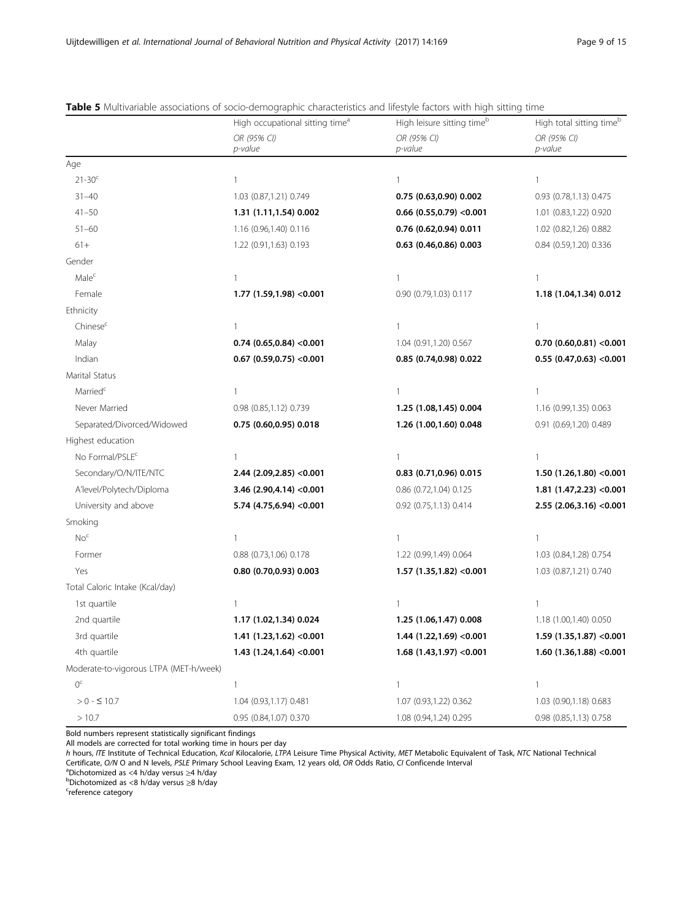| Page 9 of 15 |  |  |  |
|--------------|--|--|--|
|--------------|--|--|--|

|                                        | High occupational sitting time <sup>a</sup> | High leisure sitting time <sup>b</sup> | High total sitting timeb   |
|----------------------------------------|---------------------------------------------|----------------------------------------|----------------------------|
|                                        | OR (95% CI)<br>p-value                      | OR (95% CI)<br>p-value                 | OR (95% CI)<br>p-value     |
| Age                                    |                                             |                                        |                            |
| $21 - 30^c$                            | $\mathbf{1}$                                | $\mathbf{1}$                           | $\mathbf{1}$               |
| $31 - 40$                              | 1.03 (0.87,1.21) 0.749                      | 0.75 (0.63,0.90) 0.002                 | 0.93 (0.78,1.13) 0.475     |
| $41 - 50$                              | 1.31 (1.11,1.54) 0.002                      | $0.66$ (0.55,0.79) <0.001              | 1.01 (0.83,1.22) 0.920     |
| $51 - 60$                              | 1.16 (0.96,1.40) 0.116                      | 0.76 (0.62,0.94) 0.011                 | 1.02 (0.82,1.26) 0.882     |
| $61+$                                  | 1.22 (0.91,1.63) 0.193                      | 0.63 (0.46,0.86) 0.003                 | 0.84 (0.59,1.20) 0.336     |
| Gender                                 |                                             |                                        |                            |
| Male <sup>c</sup>                      | $\mathbf{1}$                                | $\mathbf{1}$                           | 1                          |
| Female                                 | $1.77$ (1.59,1.98) < 0.001                  | 0.90 (0.79,1.03) 0.117                 | 1.18 (1.04,1.34) 0.012     |
| Ethnicity                              |                                             |                                        |                            |
| Chinese <sup>c</sup>                   | $\mathbf{1}$                                | $\mathbf{1}$                           | $\mathbf{1}$               |
| Malay                                  | $0.74$ (0.65,0.84) <0.001                   | 1.04 (0.91,1.20) 0.567                 | $0.70$ (0.60,0.81) <0.001  |
| Indian                                 | $0.67$ (0.59,0.75) <0.001                   | 0.85 (0.74,0.98) 0.022                 | $0.55$ (0.47,0.63) <0.001  |
| Marital Status                         |                                             |                                        |                            |
| Married <sup>c</sup>                   | 1                                           | 1                                      | 1                          |
| Never Married                          | 0.98 (0.85,1.12) 0.739                      | 1.25 (1.08,1.45) 0.004                 | 1.16 (0.99,1.35) 0.063     |
| Separated/Divorced/Widowed             | 0.75 (0.60,0.95) 0.018                      | 1.26 (1.00,1.60) 0.048                 | 0.91 (0.69,1.20) 0.489     |
| Highest education                      |                                             |                                        |                            |
| No Formal/PSLE <sup>c</sup>            |                                             | 1                                      | $\mathbf{1}$               |
| Secondary/O/N/ITE/NTC                  | $2.44$ (2.09, 2.85) < 0.001                 | 0.83 (0.71,0.96) 0.015                 | $1.50$ (1.26,1.80) < 0.001 |
| A'level/Polytech/Diploma               | 3.46 $(2.90, 4.14)$ <0.001                  | 0.86 (0.72,1.04) 0.125                 | $1.81$ (1.47,2.23) < 0.001 |
| University and above                   | $5.74$ (4.75,6.94) < 0.001                  | 0.92 (0.75,1.13) 0.414                 | $2.55$ (2.06,3.16) < 0.001 |
| Smoking                                |                                             |                                        |                            |
| No <sup>c</sup>                        |                                             | $\mathbf{1}$                           | $\mathbf{1}$               |
| Former                                 | 0.88 (0.73,1.06) 0.178                      | 1.22 (0.99,1.49) 0.064                 | 1.03 (0.84,1.28) 0.754     |
| Yes                                    | 0.80 (0.70,0.93) 0.003                      | $1.57$ (1.35,1.82) < 0.001             | 1.03 (0.87,1.21) 0.740     |
| Total Caloric Intake (Kcal/day)        |                                             |                                        |                            |
| 1st quartile                           | 1                                           | 1                                      | $\mathbf{1}$               |
| 2nd quartile                           | 1.17 (1.02,1.34) 0.024                      | 1.25 (1.06,1.47) 0.008                 | 1.18 (1.00,1.40) 0.050     |
| 3rd quartile                           | 1.41(1.23, 1.62) < 0.001                    | 1.44 (1.22,1.69) < 0.001               | 1.59 (1.35,1.87) < 0.001   |
| 4th quartile                           | $1.43$ (1.24,1.64) < 0.001                  | $1.68$ (1.43,1.97) < 0.001             | $1.60$ (1.36,1.88) < 0.001 |
| Moderate-to-vigorous LTPA (MET-h/week) |                                             |                                        |                            |
| 0 <sup>c</sup>                         | 1                                           | $\mathbf{1}$                           | 1                          |
| $> 0 - 5 10.7$                         | 1.04 (0.93,1.17) 0.481                      | 1.07 (0.93,1.22) 0.362                 | 1.03 (0.90,1.18) 0.683     |
| >10.7                                  | 0.95 (0.84,1.07) 0.370                      | 1.08 (0.94,1.24) 0.295                 | 0.98 (0.85,1.13) 0.758     |

<span id="page-8-0"></span>Table 5 Multivariable associations of socio-demographic characteristics and lifestyle factors with high sitting time

Bold numbers represent statistically significant findings

All models are corrected for total working time in hours per day

h hours, ITE Institute of Technical Education, Kcal Kilocalorie, LTPA Leisure Time Physical Activity, MET Metabolic Equivalent of Task, NTC National Technical Certificate, O/N O and N levels, PSLE Primary School Leaving Exam, 12 years old, OR Odds Ratio, CI Conficende Interval <sup>a</sup>

Dichotomized as <4 h/day versus <sup>≥</sup>4 h/day <sup>b</sup>

Dichotomized as <8 h/day versus <sup>≥</sup>8 h/day <sup>c</sup>

<sup>c</sup>reference category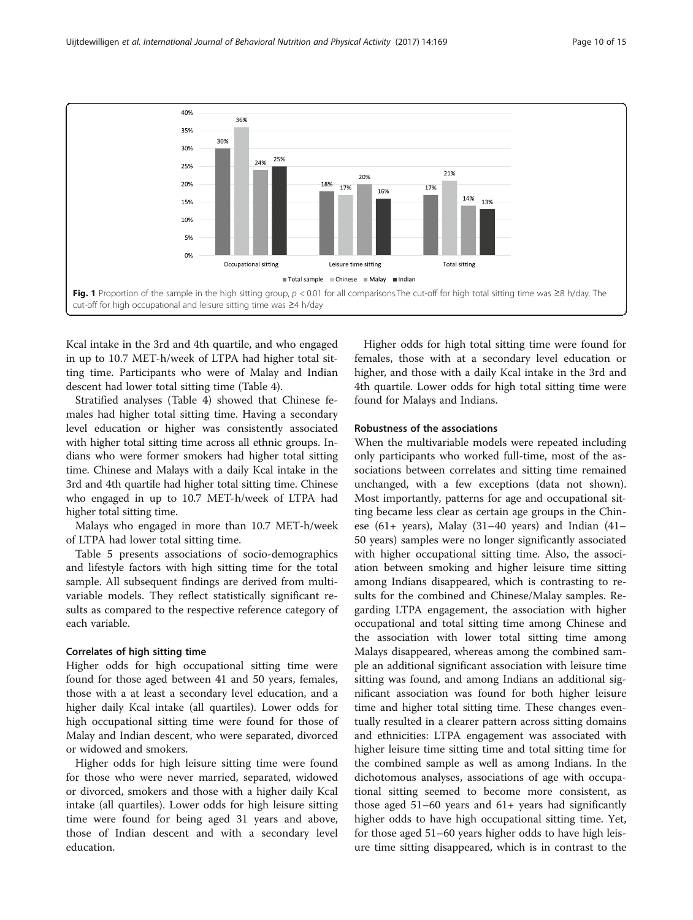<span id="page-9-0"></span>

Kcal intake in the 3rd and 4th quartile, and who engaged in up to 10.7 MET-h/week of LTPA had higher total sitting time. Participants who were of Malay and Indian descent had lower total sitting time (Table [4\)](#page-7-0).

Stratified analyses (Table [4\)](#page-7-0) showed that Chinese females had higher total sitting time. Having a secondary level education or higher was consistently associated with higher total sitting time across all ethnic groups. Indians who were former smokers had higher total sitting time. Chinese and Malays with a daily Kcal intake in the 3rd and 4th quartile had higher total sitting time. Chinese who engaged in up to 10.7 MET-h/week of LTPA had higher total sitting time.

Malays who engaged in more than 10.7 MET-h/week of LTPA had lower total sitting time.

Table [5](#page-8-0) presents associations of socio-demographics and lifestyle factors with high sitting time for the total sample. All subsequent findings are derived from multivariable models. They reflect statistically significant results as compared to the respective reference category of each variable.

#### Correlates of high sitting time

Higher odds for high occupational sitting time were found for those aged between 41 and 50 years, females, those with a at least a secondary level education, and a higher daily Kcal intake (all quartiles). Lower odds for high occupational sitting time were found for those of Malay and Indian descent, who were separated, divorced or widowed and smokers.

Higher odds for high leisure sitting time were found for those who were never married, separated, widowed or divorced, smokers and those with a higher daily Kcal intake (all quartiles). Lower odds for high leisure sitting time were found for being aged 31 years and above, those of Indian descent and with a secondary level education.

Higher odds for high total sitting time were found for females, those with at a secondary level education or higher, and those with a daily Kcal intake in the 3rd and 4th quartile. Lower odds for high total sitting time were found for Malays and Indians.

#### Robustness of the associations

When the multivariable models were repeated including only participants who worked full-time, most of the associations between correlates and sitting time remained unchanged, with a few exceptions (data not shown). Most importantly, patterns for age and occupational sitting became less clear as certain age groups in the Chinese (61+ years), Malay (31–40 years) and Indian (41– 50 years) samples were no longer significantly associated with higher occupational sitting time. Also, the association between smoking and higher leisure time sitting among Indians disappeared, which is contrasting to results for the combined and Chinese/Malay samples. Regarding LTPA engagement, the association with higher occupational and total sitting time among Chinese and the association with lower total sitting time among Malays disappeared, whereas among the combined sample an additional significant association with leisure time sitting was found, and among Indians an additional significant association was found for both higher leisure time and higher total sitting time. These changes eventually resulted in a clearer pattern across sitting domains and ethnicities: LTPA engagement was associated with higher leisure time sitting time and total sitting time for the combined sample as well as among Indians. In the dichotomous analyses, associations of age with occupational sitting seemed to become more consistent, as those aged 51–60 years and 61+ years had significantly higher odds to have high occupational sitting time. Yet, for those aged 51–60 years higher odds to have high leisure time sitting disappeared, which is in contrast to the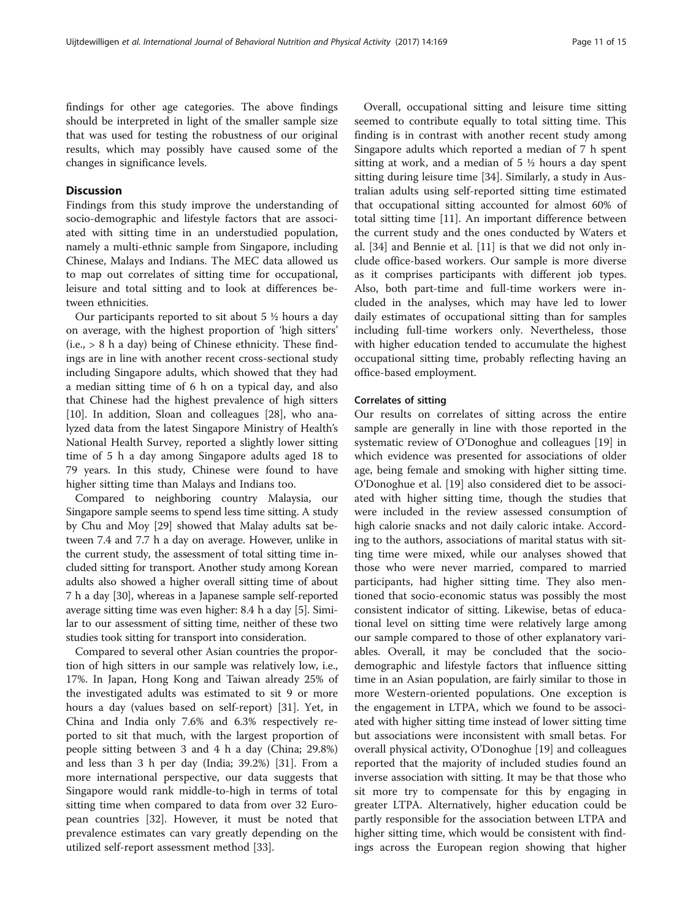findings for other age categories. The above findings should be interpreted in light of the smaller sample size that was used for testing the robustness of our original results, which may possibly have caused some of the changes in significance levels.

## **Discussion**

Findings from this study improve the understanding of socio-demographic and lifestyle factors that are associated with sitting time in an understudied population, namely a multi-ethnic sample from Singapore, including Chinese, Malays and Indians. The MEC data allowed us to map out correlates of sitting time for occupational, leisure and total sitting and to look at differences between ethnicities.

Our participants reported to sit about 5 ½ hours a day on average, with the highest proportion of 'high sitters'  $(i.e., > 8 h a day)$  being of Chinese ethnicity. These findings are in line with another recent cross-sectional study including Singapore adults, which showed that they had a median sitting time of 6 h on a typical day, and also that Chinese had the highest prevalence of high sitters [[10\]](#page-13-0). In addition, Sloan and colleagues [[28](#page-14-0)], who analyzed data from the latest Singapore Ministry of Health's National Health Survey, reported a slightly lower sitting time of 5 h a day among Singapore adults aged 18 to 79 years. In this study, Chinese were found to have higher sitting time than Malays and Indians too.

Compared to neighboring country Malaysia, our Singapore sample seems to spend less time sitting. A study by Chu and Moy [\[29](#page-14-0)] showed that Malay adults sat between 7.4 and 7.7 h a day on average. However, unlike in the current study, the assessment of total sitting time included sitting for transport. Another study among Korean adults also showed a higher overall sitting time of about 7 h a day [\[30\]](#page-14-0), whereas in a Japanese sample self-reported average sitting time was even higher: 8.4 h a day [\[5](#page-13-0)]. Similar to our assessment of sitting time, neither of these two studies took sitting for transport into consideration.

Compared to several other Asian countries the proportion of high sitters in our sample was relatively low, i.e., 17%. In Japan, Hong Kong and Taiwan already 25% of the investigated adults was estimated to sit 9 or more hours a day (values based on self-report) [[31\]](#page-14-0). Yet, in China and India only 7.6% and 6.3% respectively reported to sit that much, with the largest proportion of people sitting between 3 and 4 h a day (China; 29.8%) and less than 3 h per day (India; 39.2%) [[31\]](#page-14-0). From a more international perspective, our data suggests that Singapore would rank middle-to-high in terms of total sitting time when compared to data from over 32 European countries [\[32](#page-14-0)]. However, it must be noted that prevalence estimates can vary greatly depending on the utilized self-report assessment method [[33\]](#page-14-0).

Overall, occupational sitting and leisure time sitting seemed to contribute equally to total sitting time. This finding is in contrast with another recent study among Singapore adults which reported a median of 7 h spent sitting at work, and a median of  $5\frac{1}{2}$  hours a day spent sitting during leisure time [[34\]](#page-14-0). Similarly, a study in Australian adults using self-reported sitting time estimated that occupational sitting accounted for almost 60% of total sitting time [\[11](#page-13-0)]. An important difference between the current study and the ones conducted by Waters et al. [\[34](#page-14-0)] and Bennie et al. [[11\]](#page-13-0) is that we did not only include office-based workers. Our sample is more diverse as it comprises participants with different job types. Also, both part-time and full-time workers were included in the analyses, which may have led to lower daily estimates of occupational sitting than for samples including full-time workers only. Nevertheless, those with higher education tended to accumulate the highest occupational sitting time, probably reflecting having an office-based employment.

#### Correlates of sitting

Our results on correlates of sitting across the entire sample are generally in line with those reported in the systematic review of O'Donoghue and colleagues [\[19\]](#page-13-0) in which evidence was presented for associations of older age, being female and smoking with higher sitting time. O'Donoghue et al. [\[19\]](#page-13-0) also considered diet to be associated with higher sitting time, though the studies that were included in the review assessed consumption of high calorie snacks and not daily caloric intake. According to the authors, associations of marital status with sitting time were mixed, while our analyses showed that those who were never married, compared to married participants, had higher sitting time. They also mentioned that socio-economic status was possibly the most consistent indicator of sitting. Likewise, betas of educational level on sitting time were relatively large among our sample compared to those of other explanatory variables. Overall, it may be concluded that the sociodemographic and lifestyle factors that influence sitting time in an Asian population, are fairly similar to those in more Western-oriented populations. One exception is the engagement in LTPA, which we found to be associated with higher sitting time instead of lower sitting time but associations were inconsistent with small betas. For overall physical activity, O'Donoghue [[19\]](#page-13-0) and colleagues reported that the majority of included studies found an inverse association with sitting. It may be that those who sit more try to compensate for this by engaging in greater LTPA. Alternatively, higher education could be partly responsible for the association between LTPA and higher sitting time, which would be consistent with findings across the European region showing that higher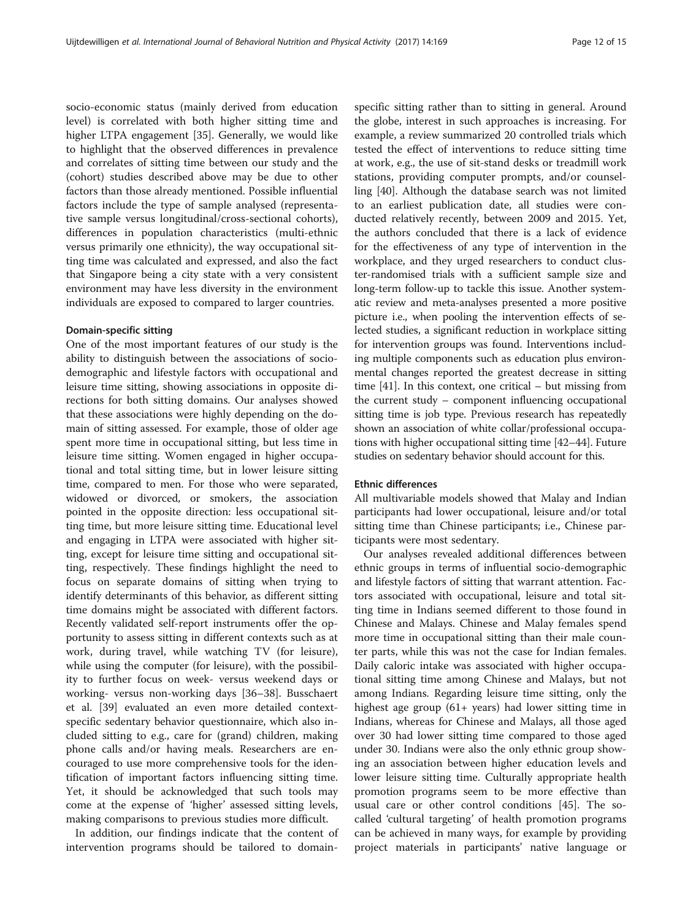socio-economic status (mainly derived from education level) is correlated with both higher sitting time and higher LTPA engagement [\[35\]](#page-14-0). Generally, we would like to highlight that the observed differences in prevalence and correlates of sitting time between our study and the (cohort) studies described above may be due to other factors than those already mentioned. Possible influential factors include the type of sample analysed (representative sample versus longitudinal/cross-sectional cohorts), differences in population characteristics (multi-ethnic versus primarily one ethnicity), the way occupational sitting time was calculated and expressed, and also the fact that Singapore being a city state with a very consistent environment may have less diversity in the environment individuals are exposed to compared to larger countries.

#### Domain-specific sitting

One of the most important features of our study is the ability to distinguish between the associations of sociodemographic and lifestyle factors with occupational and leisure time sitting, showing associations in opposite directions for both sitting domains. Our analyses showed that these associations were highly depending on the domain of sitting assessed. For example, those of older age spent more time in occupational sitting, but less time in leisure time sitting. Women engaged in higher occupational and total sitting time, but in lower leisure sitting time, compared to men. For those who were separated, widowed or divorced, or smokers, the association pointed in the opposite direction: less occupational sitting time, but more leisure sitting time. Educational level and engaging in LTPA were associated with higher sitting, except for leisure time sitting and occupational sitting, respectively. These findings highlight the need to focus on separate domains of sitting when trying to identify determinants of this behavior, as different sitting time domains might be associated with different factors. Recently validated self-report instruments offer the opportunity to assess sitting in different contexts such as at work, during travel, while watching TV (for leisure), while using the computer (for leisure), with the possibility to further focus on week- versus weekend days or working- versus non-working days [[36](#page-14-0)–[38\]](#page-14-0). Busschaert et al. [\[39](#page-14-0)] evaluated an even more detailed contextspecific sedentary behavior questionnaire, which also included sitting to e.g., care for (grand) children, making phone calls and/or having meals. Researchers are encouraged to use more comprehensive tools for the identification of important factors influencing sitting time. Yet, it should be acknowledged that such tools may come at the expense of 'higher' assessed sitting levels, making comparisons to previous studies more difficult.

In addition, our findings indicate that the content of intervention programs should be tailored to domain-

specific sitting rather than to sitting in general. Around the globe, interest in such approaches is increasing. For example, a review summarized 20 controlled trials which tested the effect of interventions to reduce sitting time at work, e.g., the use of sit-stand desks or treadmill work stations, providing computer prompts, and/or counselling [[40\]](#page-14-0). Although the database search was not limited to an earliest publication date, all studies were conducted relatively recently, between 2009 and 2015. Yet, the authors concluded that there is a lack of evidence for the effectiveness of any type of intervention in the workplace, and they urged researchers to conduct cluster-randomised trials with a sufficient sample size and long-term follow-up to tackle this issue. Another systematic review and meta-analyses presented a more positive picture i.e., when pooling the intervention effects of selected studies, a significant reduction in workplace sitting for intervention groups was found. Interventions including multiple components such as education plus environmental changes reported the greatest decrease in sitting time [\[41\]](#page-14-0). In this context, one critical – but missing from the current study – component influencing occupational sitting time is job type. Previous research has repeatedly shown an association of white collar/professional occupations with higher occupational sitting time [\[42](#page-14-0)–[44](#page-14-0)]. Future studies on sedentary behavior should account for this.

#### Ethnic differences

All multivariable models showed that Malay and Indian participants had lower occupational, leisure and/or total sitting time than Chinese participants; i.e., Chinese participants were most sedentary.

Our analyses revealed additional differences between ethnic groups in terms of influential socio-demographic and lifestyle factors of sitting that warrant attention. Factors associated with occupational, leisure and total sitting time in Indians seemed different to those found in Chinese and Malays. Chinese and Malay females spend more time in occupational sitting than their male counter parts, while this was not the case for Indian females. Daily caloric intake was associated with higher occupational sitting time among Chinese and Malays, but not among Indians. Regarding leisure time sitting, only the highest age group  $(61+)$  years) had lower sitting time in Indians, whereas for Chinese and Malays, all those aged over 30 had lower sitting time compared to those aged under 30. Indians were also the only ethnic group showing an association between higher education levels and lower leisure sitting time. Culturally appropriate health promotion programs seem to be more effective than usual care or other control conditions [\[45](#page-14-0)]. The socalled 'cultural targeting' of health promotion programs can be achieved in many ways, for example by providing project materials in participants' native language or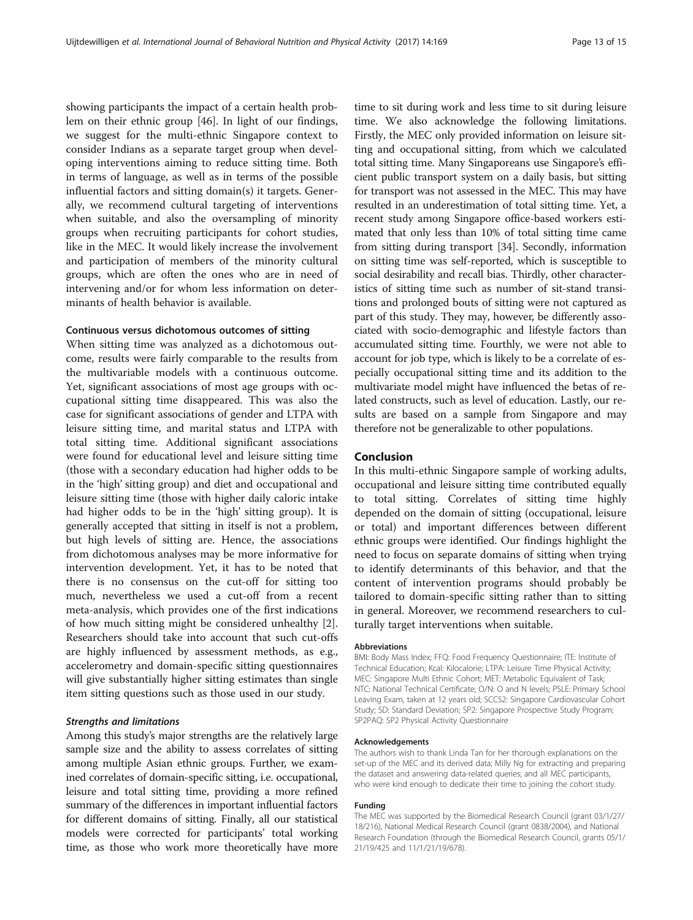showing participants the impact of a certain health problem on their ethnic group [[46](#page-14-0)]. In light of our findings, we suggest for the multi-ethnic Singapore context to consider Indians as a separate target group when developing interventions aiming to reduce sitting time. Both in terms of language, as well as in terms of the possible influential factors and sitting domain(s) it targets. Generally, we recommend cultural targeting of interventions when suitable, and also the oversampling of minority groups when recruiting participants for cohort studies, like in the MEC. It would likely increase the involvement and participation of members of the minority cultural groups, which are often the ones who are in need of intervening and/or for whom less information on determinants of health behavior is available.

#### Continuous versus dichotomous outcomes of sitting

When sitting time was analyzed as a dichotomous outcome, results were fairly comparable to the results from the multivariable models with a continuous outcome. Yet, significant associations of most age groups with occupational sitting time disappeared. This was also the case for significant associations of gender and LTPA with leisure sitting time, and marital status and LTPA with total sitting time. Additional significant associations were found for educational level and leisure sitting time (those with a secondary education had higher odds to be in the 'high' sitting group) and diet and occupational and leisure sitting time (those with higher daily caloric intake had higher odds to be in the 'high' sitting group). It is generally accepted that sitting in itself is not a problem, but high levels of sitting are. Hence, the associations from dichotomous analyses may be more informative for intervention development. Yet, it has to be noted that there is no consensus on the cut-off for sitting too much, nevertheless we used a cut-off from a recent meta-analysis, which provides one of the first indications of how much sitting might be considered unhealthy [\[2](#page-13-0)]. Researchers should take into account that such cut-offs are highly influenced by assessment methods, as e.g., accelerometry and domain-specific sitting questionnaires will give substantially higher sitting estimates than single item sitting questions such as those used in our study.

#### Strengths and limitations

Among this study's major strengths are the relatively large sample size and the ability to assess correlates of sitting among multiple Asian ethnic groups. Further, we examined correlates of domain-specific sitting, i.e. occupational, leisure and total sitting time, providing a more refined summary of the differences in important influential factors for different domains of sitting. Finally, all our statistical models were corrected for participants' total working time, as those who work more theoretically have more

time to sit during work and less time to sit during leisure time. We also acknowledge the following limitations. Firstly, the MEC only provided information on leisure sitting and occupational sitting, from which we calculated total sitting time. Many Singaporeans use Singapore's efficient public transport system on a daily basis, but sitting for transport was not assessed in the MEC. This may have resulted in an underestimation of total sitting time. Yet, a recent study among Singapore office-based workers estimated that only less than 10% of total sitting time came from sitting during transport [[34](#page-14-0)]. Secondly, information on sitting time was self-reported, which is susceptible to social desirability and recall bias. Thirdly, other characteristics of sitting time such as number of sit-stand transitions and prolonged bouts of sitting were not captured as part of this study. They may, however, be differently associated with socio-demographic and lifestyle factors than accumulated sitting time. Fourthly, we were not able to account for job type, which is likely to be a correlate of especially occupational sitting time and its addition to the multivariate model might have influenced the betas of related constructs, such as level of education. Lastly, our results are based on a sample from Singapore and may therefore not be generalizable to other populations.

#### Conclusion

In this multi-ethnic Singapore sample of working adults, occupational and leisure sitting time contributed equally to total sitting. Correlates of sitting time highly depended on the domain of sitting (occupational, leisure or total) and important differences between different ethnic groups were identified. Our findings highlight the need to focus on separate domains of sitting when trying to identify determinants of this behavior, and that the content of intervention programs should probably be tailored to domain-specific sitting rather than to sitting in general. Moreover, we recommend researchers to culturally target interventions when suitable.

#### Abbreviations

BMI: Body Mass Index; FFQ: Food Frequency Questionnaire; ITE: Institute of Technical Education; Kcal: Kilocalorie; LTPA: Leisure Time Physical Activity; MEC: Singapore Multi Ethnic Cohort; MET: Metabolic Equivalent of Task; NTC: National Technical Certificate; O/N: O and N levels; PSLE: Primary School Leaving Exam, taken at 12 years old; SCCS2: Singapore Cardiovascular Cohort Study; SD: Standard Deviation; SP2: Singapore Prospective Study Program; SP2PAQ: SP2 Physical Activity Questionnaire

#### Acknowledgements

The authors wish to thank Linda Tan for her thorough explanations on the set-up of the MEC and its derived data; Milly Ng for extracting and preparing the dataset and answering data-related queries; and all MEC participants, who were kind enough to dedicate their time to joining the cohort study.

#### Funding

The MEC was supported by the Biomedical Research Council (grant 03/1/27/ 18/216), National Medical Research Council (grant 0838/2004), and National Research Foundation (through the Biomedical Research Council, grants 05/1/ 21/19/425 and 11/1/21/19/678).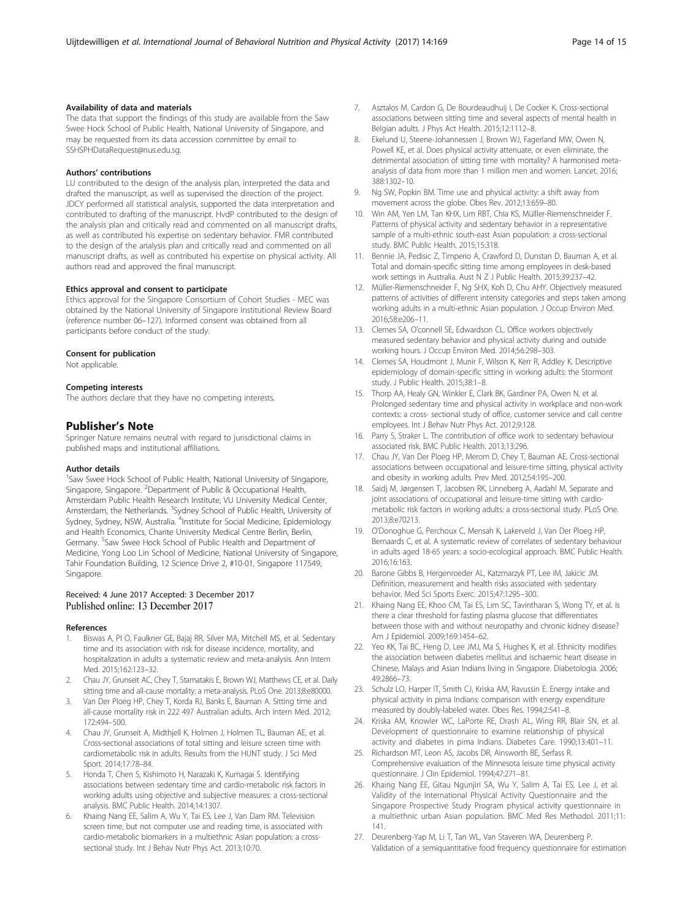#### <span id="page-13-0"></span>Availability of data and materials

The data that support the findings of this study are available from the Saw Swee Hock School of Public Health, National University of Singapore, and may be requested from its data accession committee by email to SSHSPHDataRequest@nus.edu.sg.

#### Authors' contributions

LU contributed to the design of the analysis plan, interpreted the data and drafted the manuscript, as well as supervised the direction of the project. JDCY performed all statistical analysis, supported the data interpretation and contributed to drafting of the manuscript. HvdP contributed to the design of the analysis plan and critically read and commented on all manuscript drafts, as well as contributed his expertise on sedentary behavior. FMR contributed to the design of the analysis plan and critically read and commented on all manuscript drafts, as well as contributed his expertise on physical activity. All authors read and approved the final manuscript.

#### Ethics approval and consent to participate

Ethics approval for the Singapore Consortium of Cohort Studies - MEC was obtained by the National University of Singapore Institutional Review Board (reference number 06–127). Informed consent was obtained from all participants before conduct of the study.

#### Consent for publication

Not applicable.

#### Competing interests

The authors declare that they have no competing interests.

#### Publisher's Note

Springer Nature remains neutral with regard to jurisdictional claims in published maps and institutional affiliations.

#### Author details

<sup>1</sup>Saw Swee Hock School of Public Health, National University of Singapore, Singapore, Singapore. <sup>2</sup>Department of Public & Occupational Health, Amsterdam Public Health Research Institute, VU University Medical Center, Amsterdam, the Netherlands. <sup>3</sup>Sydney School of Public Health, University of Sydney, Sydney, NSW, Australia. <sup>4</sup>Institute for Social Medicine, Epidemiology and Health Economics, Charite University Medical Centre Berlin, Berlin, Germany. <sup>5</sup>Saw Swee Hock School of Public Health and Department of Medicine, Yong Loo Lin School of Medicine, National University of Singapore, Tahir Foundation Building, 12 Science Drive 2, #10-01, Singapore 117549, Singapore.

#### Received: 4 June 2017 Accepted: 3 December 2017 Published online: 13 December 2017

#### References

- 1. Biswas A, PI O, Faulkner GE, Bajaj RR, Silver MA, Mitchell MS, et al. Sedentary time and its association with risk for disease incidence, mortality, and hospitalization in adults a systematic review and meta-analysis. Ann Intern Med. 2015;162:123–32.
- 2. Chau JY, Grunseit AC, Chey T, Stamatakis E, Brown WJ, Matthews CE, et al. Daily sitting time and all-cause mortality: a meta-analysis. PLoS One. 2013;8:e80000.
- 3. Van Der Ploeg HP, Chey T, Korda RJ, Banks E, Bauman A. Sitting time and all-cause mortality risk in 222 497 Australian adults. Arch Intern Med. 2012; 172:494–500.
- 4. Chau JY, Grunseit A, Midthjell K, Holmen J, Holmen TL, Bauman AE, et al. Cross-sectional associations of total sitting and leisure screen time with cardiometabolic risk in adults. Results from the HUNT study. J Sci Med Sport. 2014;17:78–84.
- 5. Honda T, Chen S, Kishimoto H, Narazaki K, Kumagai S. Identifying associations between sedentary time and cardio-metabolic risk factors in working adults using objective and subjective measures: a cross-sectional analysis. BMC Public Health. 2014;14:1307.
- 6. Khaing Nang EE, Salim A, Wu Y, Tai ES, Lee J, Van Dam RM. Television screen time, but not computer use and reading time, is associated with cardio-metabolic biomarkers in a multiethnic Asian population: a crosssectional study. Int J Behav Nutr Phys Act. 2013;10:70.
- 7. Asztalos M, Cardon G, De Bourdeaudhuij I, De Cocker K. Cross-sectional associations between sitting time and several aspects of mental health in Belgian adults. J Phys Act Health. 2015;12:1112–8.
- Ekelund U, Steene-Johannessen J, Brown WJ, Fagerland MW, Owen N, Powell KE, et al. Does physical activity attenuate, or even eliminate, the detrimental association of sitting time with mortality? A harmonised metaanalysis of data from more than 1 million men and women. Lancet. 2016; 388:1302–10.
- 9. Ng SW, Popkin BM. Time use and physical activity: a shift away from movement across the globe. Obes Rev. 2012;13:659–80.
- 10. Win AM, Yen LM, Tan KHX, Lim RBT, Chia KS, Mülller-Riemenschneider F. Patterns of physical activity and sedentary behavior in a representative sample of a multi-ethnic south-east Asian population: a cross-sectional study. BMC Public Health. 2015;15:318.
- 11. Bennie JA, Pedisic Z, Timperio A, Crawford D, Dunstan D, Bauman A, et al. Total and domain-specific sitting time among employees in desk-based work settings in Australia. Aust N Z J Public Health. 2015;39:237–42.
- 12. Müller-Riemenschneider F, Ng SHX, Koh D, Chu AHY. Objectively measured patterns of activities of different intensity categories and steps taken among working adults in a multi-ethnic Asian population. J Occup Environ Med. 2016;58:e206–11.
- 13. Clemes SA, O'connell SE, Edwardson CL. Office workers objectively measured sedentary behavior and physical activity during and outside working hours. J Occup Environ Med. 2014;56:298–303.
- 14. Clemes SA, Houdmont J, Munir F, Wilson K, Kerr R, Addley K. Descriptive epidemiology of domain-specific sitting in working adults: the Stormont study. J Public Health. 2015;38:1–8.
- 15. Thorp AA, Healy GN, Winkler E, Clark BK, Gardiner PA, Owen N, et al. Prolonged sedentary time and physical activity in workplace and non-work contexts: a cross- sectional study of office, customer service and call centre employees. Int J Behav Nutr Phys Act. 2012;9:128.
- 16. Parry S, Straker L. The contribution of office work to sedentary behaviour associated risk. BMC Public Health. 2013;13:296.
- 17. Chau JY, Van Der Ploeg HP, Merom D, Chey T, Bauman AE. Cross-sectional associations between occupational and leisure-time sitting, physical activity and obesity in working adults. Prev Med. 2012;54:195–200.
- 18. Saidj M, Jørgensen T, Jacobsen RK, Linneberg A, Aadahl M. Separate and joint associations of occupational and leisure-time sitting with cardiometabolic risk factors in working adults: a cross-sectional study. PLoS One. 2013;8:e70213.
- 19. O'Donoghue G, Perchoux C, Mensah K, Lakerveld J, Van Der Ploeg HP, Bernaards C, et al. A systematic review of correlates of sedentary behaviour in adults aged 18-65 years: a socio-ecological approach. BMC Public Health. 2016;16:163.
- 20. Barone Gibbs B, Hergenroeder AL, Katzmarzyk PT, Lee IM, Jakicic JM. Definition, measurement and health risks associated with sedentary behavior. Med Sci Sports Exerc. 2015;47:1295–300.
- 21. Khaing Nang EE, Khoo CM, Tai ES, Lim SC, Tavintharan S, Wong TY, et al. Is there a clear threshold for fasting plasma glucose that differentiates between those with and without neuropathy and chronic kidney disease? Am J Epidemiol. 2009;169:1454–62.
- 22. Yeo KK, Tai BC, Heng D, Lee JMJ, Ma S, Hughes K, et al. Ethnicity modifies the association between diabetes mellitus and ischaemic heart disease in Chinese, Malays and Asian Indians living in Singapore. Diabetologia. 2006; 49:2866–73.
- 23. Schulz LO, Harper IT, Smith CJ, Kriska AM, Ravussin E. Energy intake and physical activity in pima Indians: comparison with energy expenditure measured by doubly-labeled water. Obes Res. 1994;2:541–8.
- 24. Kriska AM, Knowler WC, LaPorte RE, Drash AL, Wing RR, Blair SN, et al. Development of questionnaire to examine relationship of physical activity and diabetes in pima Indians. Diabetes Care. 1990;13:401–11.
- 25. Richardson MT, Leon AS, Jacobs DR, Ainsworth BE, Serfass R. Comprehensive evaluation of the Minnesota leisure time physical activity questionnaire. J Clin Epidemiol. 1994;47:271–81.
- 26. Khaing Nang EE, Gitau Ngunjiri SA, Wu Y, Salim A, Tai ES, Lee J, et al. Validity of the International Physical Activity Questionnaire and the Singapore Prospective Study Program physical activity questionnaire in a multiethnic urban Asian population. BMC Med Res Methodol. 2011;11: 141.
- 27. Deurenberg-Yap M, Li T, Tan WL, Van Staveren WA, Deurenberg P. Validation of a semiquantitative food frequency questionnaire for estimation